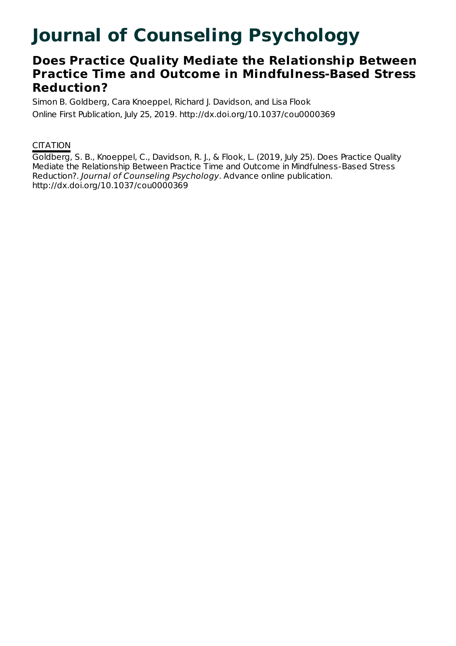# **Journal of Counseling Psychology**

# **Does Practice Quality Mediate the Relationship Between Practice Time and Outcome in Mindfulness-Based Stress Reduction?**

Simon B. Goldberg, Cara Knoeppel, Richard J. Davidson, and Lisa Flook Online First Publication, July 25, 2019. http://dx.doi.org/10.1037/cou0000369

## **CITATION**

Goldberg, S. B., Knoeppel, C., Davidson, R. J., & Flook, L. (2019, July 25). Does Practice Quality Mediate the Relationship Between Practice Time and Outcome in Mindfulness-Based Stress Reduction?. Journal of Counseling Psychology. Advance online publication. http://dx.doi.org/10.1037/cou0000369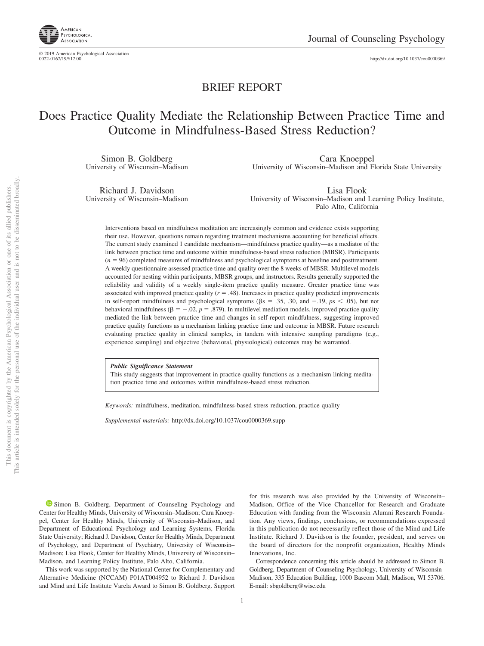

© 2019 American Psychological Association<br>0022-0167/19/\$12.00

http://dx.doi.org[/10.1037/cou0000369](http://dx.doi.org/10.1037/cou0000369)

### BRIEF REPORT

# Does Practice Quality Mediate the Relationship Between Practice Time and Outcome in Mindfulness-Based Stress Reduction?

Simon B. Goldberg University of Wisconsin–Madison

Cara Knoeppel University of Wisconsin–Madison and Florida State University

Richard J. Davidson University of Wisconsin–Madison

Lisa Flook University of Wisconsin–Madison and Learning Policy Institute, Palo Alto, California

Interventions based on mindfulness meditation are increasingly common and evidence exists supporting their use. However, questions remain regarding treatment mechanisms accounting for beneficial effects. The current study examined 1 candidate mechanism—mindfulness practice quality—as a mediator of the link between practice time and outcome within mindfulness-based stress reduction (MBSR). Participants  $(n = 96)$  completed measures of mindfulness and psychological symptoms at baseline and posttreatment. A weekly questionnaire assessed practice time and quality over the 8 weeks of MBSR. Multilevel models accounted for nesting within participants, MBSR groups, and instructors. Results generally supported the reliability and validity of a weekly single-item practice quality measure. Greater practice time was associated with improved practice quality  $(r = .48)$ . Increases in practice quality predicted improvements in self-report mindfulness and psychological symptoms ( $\beta$ s = .35, .30, and -.19,  $p$ s < .05), but not behavioral mindfulness ( $\beta = -.02$ ,  $p = .879$ ). In multilevel mediation models, improved practice quality mediated the link between practice time and changes in self-report mindfulness, suggesting improved practice quality functions as a mechanism linking practice time and outcome in MBSR. Future research evaluating practice quality in clinical samples, in tandem with intensive sampling paradigms (e.g., experience sampling) and objective (behavioral, physiological) outcomes may be warranted.

*Public Significance Statement*

This study suggests that improvement in practice quality functions as a mechanism linking meditation practice time and outcomes within mindfulness-based stress reduction.

*Keywords:* mindfulness, meditation, mindfulness-based stress reduction, practice quality

*Supplemental materials:* http://dx.doi.org/10.1037/cou0000369.supp

<sup>•</sup> [Simon B. Goldberg,](https://orcid.org/0000-0002-6888-0126) Department of Counseling Psychology and Center for Healthy Minds, University of Wisconsin–Madison; Cara Knoeppel, Center for Healthy Minds, University of Wisconsin–Madison, and Department of Educational Psychology and Learning Systems, Florida State University; Richard J. Davidson, Center for Healthy Minds, Department of Psychology, and Department of Psychiatry, University of Wisconsin– Madison; Lisa Flook, Center for Healthy Minds, University of Wisconsin– Madison, and Learning Policy Institute, Palo Alto, California.

This work was supported by the National Center for Complementary and Alternative Medicine (NCCAM) P01AT004952 to Richard J. Davidson and Mind and Life Institute Varela Award to Simon B. Goldberg. Support

for this research was also provided by the University of Wisconsin– Madison, Office of the Vice Chancellor for Research and Graduate Education with funding from the Wisconsin Alumni Research Foundation. Any views, findings, conclusions, or recommendations expressed in this publication do not necessarily reflect those of the Mind and Life Institute. Richard J. Davidson is the founder, president, and serves on the board of directors for the nonprofit organization, Healthy Minds Innovations, Inc.

Correspondence concerning this article should be addressed to Simon B. Goldberg, Department of Counseling Psychology, University of Wisconsin– Madison, 335 Education Building, 1000 Bascom Mall, Madison, WI 53706. E-mail: [sbgoldberg@wisc.edu](mailto:sbgoldberg@wisc.edu)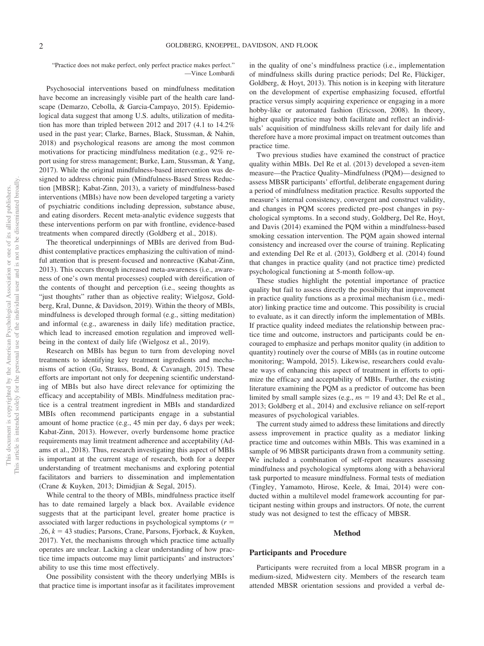"Practice does not make perfect, only perfect practice makes perfect." —Vince Lombardi

Psychosocial interventions based on mindfulness meditation have become an increasingly visible part of the health care landscape (Demarzo, Cebolla, & Garcia-Campayo, 2015). Epidemiological data suggest that among U.S. adults, utilization of meditation has more than tripled between 2012 and 2017 (4.1 to 14.2% used in the past year; Clarke, Barnes, Black, Stussman, & Nahin, 2018) and psychological reasons are among the most common motivations for practicing mindfulness meditation (e.g., 92% report using for stress management; [Burke, Lam, Stussman, & Yang,](#page-7-0) [2017\)](#page-7-0). While the original mindfulness-based intervention was designed to address chronic pain (Mindfulness-Based Stress Reduction [MBSR]; Kabat-Zinn, 2013), a variety of mindfulness-based interventions (MBIs) have now been developed targeting a variety of psychiatric conditions including depression, substance abuse, and eating disorders. Recent meta-analytic evidence suggests that these interventions perform on par with frontline, evidence-based treatments when compared directly (Goldberg et al., 2018).

The theoretical underpinnings of MBIs are derived from Buddhist contemplative practices emphasizing the cultivation of mindful attention that is present-focused and nonreactive (Kabat-Zinn, 2013). This occurs through increased meta-awareness (i.e., awareness of one's own mental processes) coupled with dereification of the contents of thought and perception (i.e., seeing thoughts as "just thoughts" rather than as objective reality; Wielgosz, Goldberg, Kral, Dunne, & Davidson, 2019). Within the theory of MBIs, mindfulness is developed through formal (e.g., sitting meditation) and informal (e.g., awareness in daily life) meditation practice, which lead to increased emotion regulation and improved wellbeing in the context of daily life (Wielgosz et al., 2019).

Research on MBIs has begun to turn from developing novel treatments to identifying key treatment ingredients and mechanisms of action (Gu, Strauss, Bond, & Cavanagh, 2015). These efforts are important not only for deepening scientific understanding of MBIs but also have direct relevance for optimizing the efficacy and acceptability of MBIs. Mindfulness meditation practice is a central treatment ingredient in MBIs and standardized MBIs often recommend participants engage in a substantial amount of home practice (e.g., 45 min per day, 6 days per week; Kabat-Zinn, 2013). However, overly burdensome home practice requirements may limit treatment adherence and acceptability (Adams et al., 2018). Thus, research investigating this aspect of MBIs is important at the current stage of research, both for a deeper understanding of treatment mechanisms and exploring potential facilitators and barriers to dissemination and implementation (Crane & Kuyken, 2013; Dimidjian & Segal, 2015).

While central to the theory of MBIs, mindfulness practice itself has to date remained largely a black box. Available evidence suggests that at the participant level, greater home practice is associated with larger reductions in psychological symptoms  $(r =$  $.26, k = 43$  studies; Parsons, Crane, Parsons, Fjorback, & Kuyken, 2017). Yet, the mechanisms through which practice time actually operates are unclear. Lacking a clear understanding of how practice time impacts outcome may limit participants' and instructors' ability to use this time most effectively.

One possibility consistent with the theory underlying MBIs is that practice time is important insofar as it facilitates improvement in the quality of one's mindfulness practice (i.e., implementation of mindfulness skills during practice periods; Del Re, Flückiger, Goldberg, & Hoyt, 2013). This notion is in keeping with literature on the development of expertise emphasizing focused, effortful practice versus simply acquiring experience or engaging in a more hobby-like or automated fashion (Ericsson, 2008). In theory, higher quality practice may both facilitate and reflect an individuals' acquisition of mindfulness skills relevant for daily life and therefore have a more proximal impact on treatment outcomes than practice time.

Two previous studies have examined the construct of practice quality within MBIs. Del Re et al. (2013) developed a seven-item measure—the Practice Quality–Mindfulness (PQM)— designed to assess MBSR participants' effortful, deliberate engagement during a period of mindfulness meditation practice. Results supported the measure's internal consistency, convergent and construct validity, and changes in PQM scores predicted pre–post changes in psychological symptoms. In a second study, Goldberg, Del Re, Hoyt, and Davis (2014) examined the PQM within a mindfulness-based smoking cessation intervention. The PQM again showed internal consistency and increased over the course of training. Replicating and extending Del Re et al. (2013), Goldberg et al. (2014) found that changes in practice quality (and not practice time) predicted psychological functioning at 5-month follow-up.

These studies highlight the potential importance of practice quality but fail to assess directly the possibility that improvement in practice quality functions as a proximal mechanism (i.e., mediator) linking practice time and outcome. This possibility is crucial to evaluate, as it can directly inform the implementation of MBIs. If practice quality indeed mediates the relationship between practice time and outcome, instructors and participants could be encouraged to emphasize and perhaps monitor quality (in addition to quantity) routinely over the course of MBIs (as in routine outcome monitoring; Wampold, 2015). Likewise, researchers could evaluate ways of enhancing this aspect of treatment in efforts to optimize the efficacy and acceptability of MBIs. Further, the existing literature examining the PQM as a predictor of outcome has been limited by small sample sizes (e.g.,  $ns = 19$  and 43; Del Re et al., 2013; Goldberg et al., 2014) and exclusive reliance on self-report measures of psychological variables.

The current study aimed to address these limitations and directly assess improvement in practice quality as a mediator linking practice time and outcomes within MBIs. This was examined in a sample of 96 MBSR participants drawn from a community setting. We included a combination of self-report measures assessing mindfulness and psychological symptoms along with a behavioral task purported to measure mindfulness. Formal tests of mediation [\(Tingley, Yamamoto, Hirose, Keele, & Imai, 2014\)](#page-8-0) were conducted within a multilevel model framework accounting for participant nesting within groups and instructors. Of note, the current study was not designed to test the efficacy of MBSR.

#### **Method**

#### **Participants and Procedure**

Participants were recruited from a local MBSR program in a medium-sized, Midwestern city. Members of the research team attended MBSR orientation sessions and provided a verbal de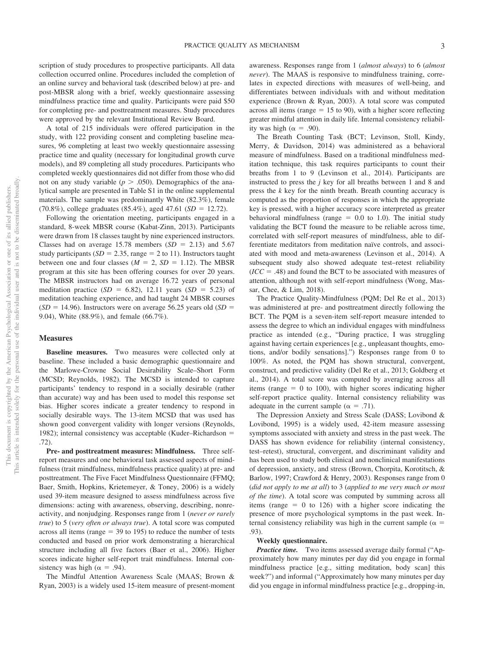scription of study procedures to prospective participants. All data collection occurred online. Procedures included the completion of an online survey and behavioral task (described below) at pre- and post-MBSR along with a brief, weekly questionnaire assessing mindfulness practice time and quality. Participants were paid \$50 for completing pre- and posttreatment measures. Study procedures were approved by the relevant Institutional Review Board.

A total of 215 individuals were offered participation in the study, with 122 providing consent and completing baseline measures, 96 completing at least two weekly questionnaire assessing practice time and quality (necessary for longitudinal growth curve models), and 89 completing all study procedures. Participants who completed weekly questionnaires did not differ from those who did not on any study variable ( $p > .050$ ). Demographics of the analytical sample are presented in [Table S1](http://dx.doi.org/10.1037/cou0000369.supp) in the online supplemental materials. The sample was predominantly White (82.3%), female  $(70.8\%)$ , college graduates  $(85.4\%)$ , aged  $47.61$   $(SD = 12.72)$ .

Following the orientation meeting, participants engaged in a standard, 8-week MBSR course (Kabat-Zinn, 2013). Participants were drawn from 18 classes taught by nine experienced instructors. Classes had on average  $15.78$  members  $(SD = 2.13)$  and  $5.67$ study participants  $(SD = 2.35, \text{range} = 2 \text{ to } 11)$ . Instructors taught between one and four classes  $(M = 2, SD = 1.12)$ . The MBSR program at this site has been offering courses for over 20 years. The MBSR instructors had on average 16.72 years of personal meditation practice  $(SD = 6.82)$ , 12.11 years  $(SD = 5.23)$  of meditation teaching experience, and had taught 24 MBSR courses  $(SD = 14.96)$ . Instructors were on average 56.25 years old  $(SD = 14.96)$ 9.04), White (88.9%), and female (66.7%).

#### **Measures**

**Baseline measures.** Two measures were collected only at baseline. These included a basic demographic questionnaire and the Marlowe-Crowne Social Desirability Scale–Short Form (MCSD; Reynolds, 1982). The MCSD is intended to capture participants' tendency to respond in a socially desirable (rather than accurate) way and has been used to model this response set bias. Higher scores indicate a greater tendency to respond in socially desirable ways. The 13-item MCSD that was used has shown good convergent validity with longer versions (Reynolds, 1982); internal consistency was acceptable (Kuder–Richardson  $=$ .72).

**Pre- and posttreatment measures: Mindfulness.** Three selfreport measures and one behavioral task assessed aspects of mindfulness (trait mindfulness, mindfulness practice quality) at pre- and posttreatment. The Five Facet Mindfulness Questionnaire (FFMQ; Baer, Smith, Hopkins, Krietemeyer, & Toney, 2006) is a widely used 39-item measure designed to assess mindfulness across five dimensions: acting with awareness, observing, describing, nonreactivity, and nonjudging. Responses range from 1 (*never or rarely true*) to 5 (*very often or always true*). A total score was computed across all items (range  $=$  39 to 195) to reduce the number of tests conducted and based on prior work demonstrating a hierarchical structure including all five factors (Baer et al., 2006). Higher scores indicate higher self-report trait mindfulness. Internal consistency was high ( $\alpha = .94$ ).

The Mindful Attention Awareness Scale (MAAS; [Brown &](#page-7-1) [Ryan, 2003\)](#page-7-1) is a widely used 15-item measure of present-moment awareness. Responses range from 1 (*almost always*) to 6 (*almost never*). The MAAS is responsive to mindfulness training, correlates in expected directions with measures of well-being, and differentiates between individuals with and without meditation experience [\(Brown & Ryan, 2003\)](#page-7-1). A total score was computed across all items (range  $= 15$  to 90), with a higher score reflecting greater mindful attention in daily life. Internal consistency reliability was high ( $\alpha = .90$ ).

The Breath Counting Task (BCT; Levinson, Stoll, Kindy, Merry, & Davidson, 2014) was administered as a behavioral measure of mindfulness. Based on a traditional mindfulness meditation technique, this task requires participants to count their breaths from 1 to 9 (Levinson et al., 2014). Participants are instructed to press the *j* key for all breaths between 1 and 8 and press the *k* key for the ninth breath. Breath counting accuracy is computed as the proportion of responses in which the appropriate key is pressed, with a higher accuracy score interpreted as greater behavioral mindfulness (range  $= 0.0$  to 1.0). The initial study validating the BCT found the measure to be reliable across time, correlated with self-report measures of mindfulness, able to differentiate meditators from meditation naïve controls, and associated with mood and meta-awareness (Levinson et al., 2014). A subsequent study also showed adequate test–retest reliability  $(ICC = .48)$  and found the BCT to be associated with measures of attention, although not with self-report mindfulness [\(Wong, Mas](#page-8-1)[sar, Chee, & Lim, 2018\)](#page-8-1).

The Practice Quality-Mindfulness (PQM; Del Re et al., 2013) was administered at pre- and posttreatment directly following the BCT. The PQM is a seven-item self-report measure intended to assess the degree to which an individual engages with mindfulness practice as intended (e.g., "During practice, I was struggling against having certain experiences [e.g., unpleasant thoughts, emotions, and/or bodily sensations].") Responses range from 0 to 100%. As noted, the PQM has shown structural, convergent, construct, and predictive validity (Del Re et al., 2013; Goldberg et al., 2014). A total score was computed by averaging across all items (range  $= 0$  to 100), with higher scores indicating higher self-report practice quality. Internal consistency reliability was adequate in the current sample ( $\alpha = .71$ ).

The Depression Anxiety and Stress Scale (DASS; Lovibond & Lovibond, 1995) is a widely used, 42-item measure assessing symptoms associated with anxiety and stress in the past week. The DASS has shown evidence for reliability (internal consistency, test–retest), structural, convergent, and discriminant validity and has been used to study both clinical and nonclinical manifestations of depression, anxiety, and stress (Brown, Chorpita, Korotitsch, & Barlow, 1997; Crawford & Henry, 2003). Responses range from 0 (*did not apply to me at all*) to 3 (*applied to me very much or most of the time*). A total score was computed by summing across all items (range  $= 0$  to 126) with a higher score indicating the presence of more psychological symptoms in the past week. Internal consistency reliability was high in the current sample ( $\alpha$  = .93).

#### **Weekly questionnaire.**

*Practice time.* Two items assessed average daily formal ("Approximately how many minutes per day did you engage in formal mindfulness practice [e.g., sitting meditation, body scan] this week?") and informal ("Approximately how many minutes per day did you engage in informal mindfulness practice [e.g., dropping-in,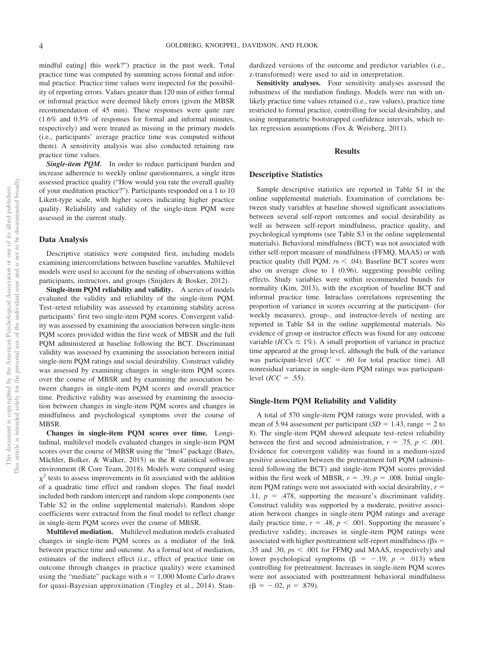mindful eating] this week?") practice in the past week. Total practice time was computed by summing across formal and informal practice. Practice time values were inspected for the possibility of reporting errors. Values greater than 120 min of either formal or informal practice were deemed likely errors (given the MBSR recommendation of 45 min). These responses were quite rare (1.6% and 0.5% of responses for formal and informal minutes, respectively) and were treated as missing in the primary models (i.e., participants' average practice time was computed without them). A sensitivity analysis was also conducted retaining raw practice time values.

Single-item PQM. In order to reduce participant burden and increase adherence to weekly online questionnaires, a single item assessed practice quality ("How would you rate the overall quality of your meditation practice?"). Participants responded on a 1 to 10 Likert-type scale, with higher scores indicating higher practice quality. Reliability and validity of the single-item PQM were assessed in the current study.

#### **Data Analysis**

Descriptive statistics were computed first, including models examining intercorrelations between baseline variables. Multilevel models were used to account for the nesting of observations within participants, instructors, and groups (Snijders & Bosker, 2012).

**Single-item PQM reliability and validity.** A series of models evaluated the validity and reliability of the single-item PQM. Test–retest reliability was assessed by examining stability across participants' first two single-item PQM scores. Convergent validity was assessed by examining the association between single-item PQM scores provided within the first week of MBSR and the full PQM administered at baseline following the BCT. Discriminant validity was assessed by examining the association between initial single-item PQM ratings and social desirability. Construct validity was assessed by examining changes in single-item PQM scores over the course of MBSR and by examining the association between changes in single-item PQM scores and overall practice time. Predictive validity was assessed by examining the association between changes in single-item PQM scores and changes in mindfulness and psychological symptoms over the course of **MBSR** 

**Changes in single-item PQM scores over time.** Longitudinal, multilevel models evaluated changes in single-item PQM scores over the course of MBSR using the "lme4" package (Bates, Mächler, Bolker, & Walker, 2015) in the R statistical software environment (R Core Team, 2018). Models were compared using  $\chi^2$  tests to assess improvements in fit associated with the addition of a quadratic time effect and random slopes. The final model included both random intercept and random slope components (see [Table S2](http://dx.doi.org/10.1037/cou0000369.supp) in the online supplemental materials). Random slope coefficients were extracted from the final model to reflect change in single-item PQM scores over the course of MBSR.

**Multilevel mediation.** Multilevel mediation models evaluated changes in single-item PQM scores as a mediator of the link between practice time and outcome. As a formal test of mediation, estimates of the indirect effect (i.e., effect of practice time on outcome through changes in practice quality) were examined using the "mediate" package with  $n = 1,000$  Monte Carlo draws for quasi-Bayesian approximation [\(Tingley et al., 2014\)](#page-8-0). Standardized versions of the outcome and predictor variables (i.e., z-transformed) were used to aid in interpretation.

**Sensitivity analyses.** Four sensitivity analyses assessed the robustness of the mediation findings. Models were run with unlikely practice time values retained (i.e., raw values), practice time restricted to formal practice, controlling for social desirability, and using nonparametric bootstrapped confidence intervals, which relax regression assumptions (Fox & Weisberg, 2011).

#### **Results**

#### **Descriptive Statistics**

Sample descriptive statistics are reported in [Table S1](http://dx.doi.org/10.1037/cou0000369.supp) in the online supplemental materials. Examination of correlations between study variables at baseline showed significant associations between several self-report outcomes and social desirability as well as between self-report mindfulness, practice quality, and psychological symptoms (see [Table S3](http://dx.doi.org/10.1037/cou0000369.supp) in the online supplemental materials). Behavioral mindfulness (BCT) was not associated with either self-report measure of mindfulness (FFMQ, MAAS) or with practice quality (full PQM;  $rs < .04$ ). Baseline BCT scores were also on average close to 1 (0.96), suggesting possible ceiling effects. Study variables were within recommended bounds for normality (Kim, 2013), with the exception of baseline BCT and informal practice time. Intraclass correlations representing the proportion of variance in scores occurring at the participant- (for weekly measures), group-, and instructor-levels of nesting are reported in [Table S4](http://dx.doi.org/10.1037/cou0000369.supp) in the online supplemental materials. No evidence of group or instructor effects was found for any outcome variable (*ICCs*  $\leq$  1%). A small proportion of variance in practice time appeared at the group level, although the bulk of the variance was participant-level  $(ICC = .60$  for total practice time). All nonresidual variance in single-item PQM ratings was participantlevel  $(ICC = .55)$ .

#### **Single-Item PQM Reliability and Validity**

A total of 570 single-item PQM ratings were provided, with a mean of 5.94 assessment per participant  $(SD = 1.43, \text{ range} = 2 \text{ to}$ 8). The single-item PQM showed adequate test–retest reliability between the first and second administration,  $r = .75$ ,  $p < .001$ . Evidence for convergent validity was found in a medium-sized positive association between the pretreatment full PQM (administered following the BCT) and single-item PQM scores provided within the first week of MBSR,  $r = .39$ ,  $p = .008$ . Initial singleitem PQM ratings were not associated with social desirability,  $r =$  $.11, p = .478$ , supporting the measure's discriminant validity. Construct validity was supported by a moderate, positive association between changes in single-item PQM ratings and average daily practice time,  $r = .48$ ,  $p < .001$ . Supporting the measure's predictive validity, increases in single-item PQM ratings were associated with higher posttreatment self-report mindfulness ( $\beta s =$ .35 and .30,  $ps < .001$  for FFMQ and MAAS, respectively) and lower psychological symptoms  $(\beta = -.19, p = .013)$  when controlling for pretreatment. Increases in single-item PQM scores were not associated with posttreatment behavioral mindfulness  $(\beta = -.02, p = .879).$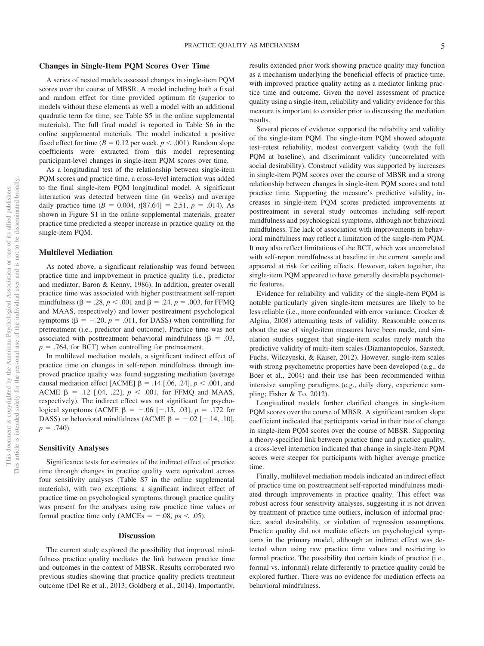#### **Changes in Single-Item PQM Scores Over Time**

A series of nested models assessed changes in single-item PQM scores over the course of MBSR. A model including both a fixed and random effect for time provided optimum fit (superior to models without these elements as well a model with an additional quadratic term for time; see [Table S5](http://dx.doi.org/10.1037/cou0000369.supp) in the online supplemental materials). The full final model is reported in [Table S6](http://dx.doi.org/10.1037/cou0000369.supp) in the online supplemental materials. The model indicated a positive fixed effect for time ( $B = 0.12$  per week,  $p < .001$ ). Random slope coefficients were extracted from this model representing participant-level changes in single-item PQM scores over time.

As a longitudinal test of the relationship between single-item PQM scores and practice time, a cross-level interaction was added to the final single-item PQM longitudinal model. A significant interaction was detected between time (in weeks) and average daily practice time  $(B = 0.004, t[87.64] = 2.51, p = .014)$ . As shown in [Figure S1](http://dx.doi.org/10.1037/cou0000369.supp) in the online supplemental materials, greater practice time predicted a steeper increase in practice quality on the single-item PQM.

#### **Multilevel Mediation**

As noted above, a significant relationship was found between practice time and improvement in practice quality (i.e., predictor and mediator; Baron & Kenny, 1986). In addition, greater overall practice time was associated with higher posttreatment self-report mindfulness ( $\beta = .28, p < .001$  and  $\beta = .24, p = .003$ , for FFMQ and MAAS, respectively) and lower posttreatment psychological symptoms ( $\beta = -.20$ ,  $p = .011$ , for DASS) when controlling for pretreatment (i.e., predictor and outcome). Practice time was not associated with posttreatment behavioral mindfulness ( $\beta = .03$ ,  $p = .764$ , for BCT) when controlling for pretreatment.

In multilevel mediation models, a significant indirect effect of practice time on changes in self-report mindfulness through improved practice quality was found suggesting mediation (average causal mediation effect [ACME]  $\beta$  = .14 [.06, .24],  $p < .001$ , and ACME  $\beta$  = .12 [.04, .22],  $p < .001$ , for FFMQ and MAAS, respectively). The indirect effect was not significant for psychological symptoms (ACME  $\beta = -.06$  [-.15, .03],  $p = .172$  for DASS) or behavioral mindfulness (ACME  $\beta = -.02$  [-.14, .10],  $p = .740$ ).

#### **Sensitivity Analyses**

Significance tests for estimates of the indirect effect of practice time through changes in practice quality were equivalent across four sensitivity analyses [\(Table S7](http://dx.doi.org/10.1037/cou0000369.supp) in the online supplemental materials), with two exceptions: a significant indirect effect of practice time on psychological symptoms through practice quality was present for the analyses using raw practice time values or formal practice time only  $(AMCEs = -.08, ps < .05)$ .

#### **Discussion**

The current study explored the possibility that improved mindfulness practice quality mediates the link between practice time and outcomes in the context of MBSR. Results corroborated two previous studies showing that practice quality predicts treatment outcome (Del Re et al., 2013; Goldberg et al., 2014). Importantly, results extended prior work showing practice quality may function as a mechanism underlying the beneficial effects of practice time, with improved practice quality acting as a mediator linking practice time and outcome. Given the novel assessment of practice quality using a single-item, reliability and validity evidence for this measure is important to consider prior to discussing the mediation results.

Several pieces of evidence supported the reliability and validity of the single-item PQM. The single-item PQM showed adequate test–retest reliability, modest convergent validity (with the full PQM at baseline), and discriminant validity (uncorrelated with social desirability). Construct validity was supported by increases in single-item PQM scores over the course of MBSR and a strong relationship between changes in single-item PQM scores and total practice time. Supporting the measure's predictive validity, increases in single-item PQM scores predicted improvements at posttreatment in several study outcomes including self-report mindfulness and psychological symptoms, although not behavioral mindfulness. The lack of association with improvements in behavioral mindfulness may reflect a limitation of the single-item PQM. It may also reflect limitations of the BCT, which was uncorrelated with self-report mindfulness at baseline in the current sample and appeared at risk for ceiling effects. However, taken together, the single-item PQM appeared to have generally desirable psychometric features.

Evidence for reliability and validity of the single-item PQM is notable particularly given single-item measures are likely to be less reliable (i.e., more confounded with error variance; Crocker & Algina, 2008) attenuating tests of validity. Reasonable concerns about the use of single-item measures have been made, and simulation studies suggest that single-item scales rarely match the predictive validity of multi-item scales (Diamantopoulos, Sarstedt, Fuchs, Wilczynski, & Kaiser, 2012). However, single-item scales with strong psychometric properties have been developed (e.g., de Boer et al., 2004) and their use has been recommended within intensive sampling paradigms (e.g., daily diary, experience sampling; Fisher & To, 2012).

Longitudinal models further clarified changes in single-item PQM scores over the course of MBSR. A significant random slope coefficient indicated that participants varied in their rate of change in single-item PQM scores over the course of MBSR. Supporting a theory-specified link between practice time and practice quality, a cross-level interaction indicated that change in single-item PQM scores were steeper for participants with higher average practice time.

Finally, multilevel mediation models indicated an indirect effect of practice time on posttreatment self-reported mindfulness mediated through improvements in practice quality. This effect was robust across four sensitivity analyses, suggesting it is not driven by treatment of practice time outliers, inclusion of informal practice, social desirability, or violation of regression assumptions. Practice quality did not mediate effects on psychological symptoms in the primary model, although an indirect effect was detected when using raw practice time values and restricting to formal practice. The possibility that certain kinds of practice (i.e., formal vs. informal) relate differently to practice quality could be explored further. There was no evidence for mediation effects on behavioral mindfulness.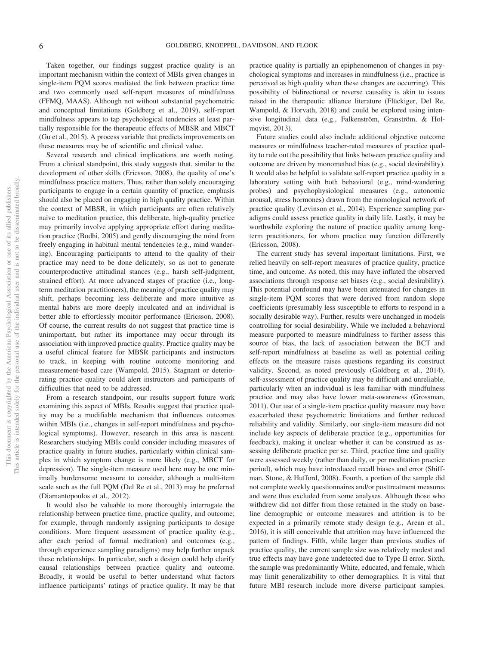Taken together, our findings suggest practice quality is an important mechanism within the context of MBIs given changes in single-item PQM scores mediated the link between practice time and two commonly used self-report measures of mindfulness (FFMQ, MAAS). Although not without substantial psychometric and conceptual limitations (Goldberg et al., 2019), self-report mindfulness appears to tap psychological tendencies at least partially responsible for the therapeutic effects of MBSR and MBCT (Gu et al., 2015). A process variable that predicts improvements on these measures may be of scientific and clinical value.

Several research and clinical implications are worth noting. From a clinical standpoint, this study suggests that, similar to the development of other skills (Ericsson, 2008), the quality of one's mindfulness practice matters. Thus, rather than solely encouraging participants to engage in a certain quantity of practice, emphasis should also be placed on engaging in high quality practice. Within the context of MBSR, in which participants are often relatively naïve to meditation practice, this deliberate, high-quality practice may primarily involve applying appropriate effort during meditation practice (Bodhi, 2005) and gently discouraging the mind from freely engaging in habitual mental tendencies (e.g., mind wandering). Encouraging participants to attend to the quality of their practice may need to be done delicately, so as not to generate counterproductive attitudinal stances (e.g., harsh self-judgment, strained effort). At more advanced stages of practice (i.e., longterm meditation practitioners), the meaning of practice quality may shift, perhaps becoming less deliberate and more intuitive as mental habits are more deeply inculcated and an individual is better able to effortlessly monitor performance (Ericsson, 2008). Of course, the current results do not suggest that practice time is unimportant, but rather its importance may occur through its association with improved practice quality. Practice quality may be a useful clinical feature for MBSR participants and instructors to track, in keeping with routine outcome monitoring and measurement-based care (Wampold, 2015). Stagnant or deteriorating practice quality could alert instructors and participants of difficulties that need to be addressed.

From a research standpoint, our results support future work examining this aspect of MBIs. Results suggest that practice quality may be a modifiable mechanism that influences outcomes within MBIs (i.e., changes in self-report mindfulness and psychological symptoms). However, research in this area is nascent. Researchers studying MBIs could consider including measures of practice quality in future studies, particularly within clinical samples in which symptom change is more likely (e.g., MBCT for depression). The single-item measure used here may be one minimally burdensome measure to consider, although a multi-item scale such as the full PQM (Del Re et al., 2013) may be preferred (Diamantopoulos et al., 2012).

It would also be valuable to more thoroughly interrogate the relationship between practice time, practice quality, and outcome; for example, through randomly assigning participants to dosage conditions. More frequent assessment of practice quality (e.g., after each period of formal meditation) and outcomes (e.g., through experience sampling paradigms) may help further unpack these relationships. In particular, such a design could help clarify causal relationships between practice quality and outcome. Broadly, it would be useful to better understand what factors influence participants' ratings of practice quality. It may be that practice quality is partially an epiphenomenon of changes in psychological symptoms and increases in mindfulness (i.e., practice is perceived as high quality when these changes are occurring). This possibility of bidirectional or reverse causality is akin to issues raised in the therapeutic alliance literature (Flückiger, Del Re, Wampold, & Horvath, 2018) and could be explored using intensive longitudinal data (e.g., Falkenström, Granström, & Holmqvist, 2013).

Future studies could also include additional objective outcome measures or mindfulness teacher-rated measures of practice quality to rule out the possibility that links between practice quality and outcome are driven by monomethod bias (e.g., social desirability). It would also be helpful to validate self-report practice quality in a laboratory setting with both behavioral (e.g., mind-wandering probes) and psychophysiological measures (e.g., autonomic arousal, stress hormones) drawn from the nomological network of practice quality (Levinson et al., 2014). Experience sampling paradigms could assess practice quality in daily life. Lastly, it may be worthwhile exploring the nature of practice quality among longterm practitioners, for whom practice may function differently (Ericsson, 2008).

The current study has several important limitations. First, we relied heavily on self-report measures of practice quality, practice time, and outcome. As noted, this may have inflated the observed associations through response set biases (e.g., social desirability). This potential confound may have been attenuated for changes in single-item PQM scores that were derived from random slope coefficients (presumably less susceptible to efforts to respond in a socially desirable way). Further, results were unchanged in models controlling for social desirability. While we included a behavioral measure purported to measure mindfulness to further assess this source of bias, the lack of association between the BCT and self-report mindfulness at baseline as well as potential ceiling effects on the measure raises questions regarding its construct validity. Second, as noted previously (Goldberg et al., 2014), self-assessment of practice quality may be difficult and unreliable, particularly when an individual is less familiar with mindfulness practice and may also have lower meta-awareness (Grossman, 2011). Our use of a single-item practice quality measure may have exacerbated these psychometric limitations and further reduced reliability and validity. Similarly, our single-item measure did not include key aspects of deliberate practice (e.g., opportunities for feedback), making it unclear whether it can be construed as assessing deliberate practice per se. Third, practice time and quality were assessed weekly (rather than daily, or per meditation practice period), which may have introduced recall biases and error (Shiffman, Stone, & Hufford, 2008). Fourth, a portion of the sample did not complete weekly questionnaires and/or posttreatment measures and were thus excluded from some analyses. Although those who withdrew did not differ from those retained in the study on baseline demographic or outcome measures and attrition is to be expected in a primarily remote study design (e.g., Arean et al., 2016), it is still conceivable that attrition may have influenced the pattern of findings. Fifth, while larger than previous studies of practice quality, the current sample size was relatively modest and true effects may have gone undetected due to Type II error. Sixth, the sample was predominantly White, educated, and female, which may limit generalizability to other demographics. It is vital that future MBI research include more diverse participant samples.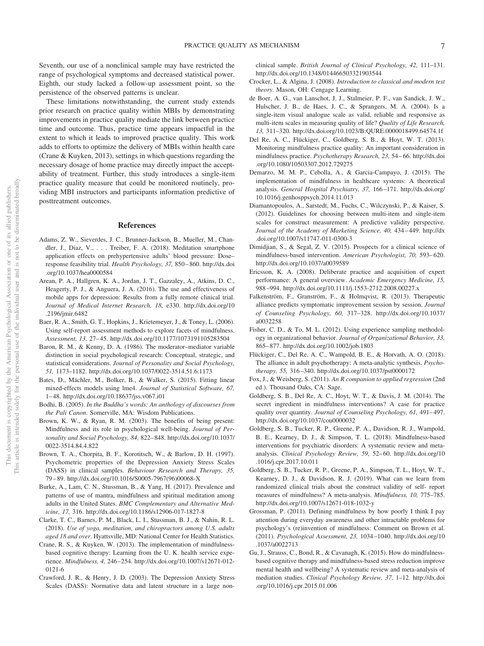Seventh, our use of a nonclinical sample may have restricted the range of psychological symptoms and decreased statistical power. Eighth, our study lacked a follow-up assessment point, so the persistence of the observed patterns is unclear.

These limitations notwithstanding, the current study extends prior research on practice quality within MBIs by demonstrating improvements in practice quality mediate the link between practice time and outcome. Thus, practice time appears impactful in the extent to which it leads to improved practice quality. This work adds to efforts to optimize the delivery of MBIs within health care (Crane & Kuyken, 2013), settings in which questions regarding the necessary dosage of home practice may directly impact the acceptability of treatment. Further, this study introduces a single-item practice quality measure that could be monitored routinely, providing MBI instructors and participants information predictive of posttreatment outcomes.

#### **References**

- Adams, Z. W., Sieverdes, J. C., Brunner-Jackson, B., Mueller, M., Chandler, J., Diaz, V., . . . Treiber, F. A. (2018). Meditation smartphone application effects on prehypertensive adults' blood pressure: Dose– response feasibility trial. *Health Psychology, 37,* 850 – 860. [http://dx.doi](http://dx.doi.org/10.1037/hea0000584) [.org/10.1037/hea0000584](http://dx.doi.org/10.1037/hea0000584)
- Arean, P. A., Hallgren, K. A., Jordan, J. T., Gazzaley, A., Atkins, D. C., Heagerty, P. J., & Anguera, J. A. (2016). The use and effectiveness of mobile apps for depression: Results from a fully remote clinical trial. *Journal of Medical Internet Research, 18,* e330. [http://dx.doi.org/10](http://dx.doi.org/10.2196/jmir.6482) [.2196/jmir.6482](http://dx.doi.org/10.2196/jmir.6482)
- Baer, R. A., Smith, G. T., Hopkins, J., Krietemeyer, J., & Toney, L. (2006). Using self-report assessment methods to explore facets of mindfulness. *Assessment, 13,* 27– 45.<http://dx.doi.org/10.1177/1073191105283504>
- Baron, R. M., & Kenny, D. A. (1986). The moderator–mediator variable distinction in social psychological research: Conceptual, strategic, and statistical considerations. *Journal of Personality and Social Psychology, 51,* 1173–1182.<http://dx.doi.org/10.1037/0022-3514.51.6.1173>
- Bates, D., Mächler, M., Bolker, B., & Walker, S. (2015). Fitting linear mixed-effects models using lme4. *Journal of Statistical Software, 67,* 1– 48.<http://dx.doi.org/10.18637/jss.v067.i01>
- Bodhi, B. (2005). *In the Buddha's words: An anthology of discourses from the Pali Canon*. Somerville, MA: Wisdom Publications.
- <span id="page-7-1"></span>Brown, K. W., & Ryan, R. M. (2003). The benefits of being present: Mindfulness and its role in psychological well-being. *Journal of Personality and Social Psychology, 84,* 822– 848. [http://dx.doi.org/10.1037/](http://dx.doi.org/10.1037/0022-3514.84.4.822) [0022-3514.84.4.822](http://dx.doi.org/10.1037/0022-3514.84.4.822)
- Brown, T. A., Chorpita, B. F., Korotitsch, W., & Barlow, D. H. (1997). Psychometric properties of the Depression Anxiety Stress Scales (DASS) in clinical samples. *Behaviour Research and Therapy, 35,* 79 – 89. [http://dx.doi.org/10.1016/S0005-7967\(96\)00068-X](http://dx.doi.org/10.1016/S0005-7967%2896%2900068-X)
- <span id="page-7-0"></span>Burke, A., Lam, C. N., Stussman, B., & Yang, H. (2017). Prevalence and patterns of use of mantra, mindfulness and spiritual meditation among adults in the United States. *BMC Complementary and Alternative Medicine, 17,* 316.<http://dx.doi.org/10.1186/s12906-017-1827-8>
- Clarke, T. C., Barnes, P. M., Black, L. I., Stussman, B. J., & Nahin, R. L. (2018). *Use of yoga, meditation, and chiropractors among U.S. adults aged 18 and over*. Hyattsville, MD: National Center for Health Statistics.
- Crane, R. S., & Kuyken, W. (2013). The implementation of mindfulnessbased cognitive therapy: Learning from the U. K. health service experience. *Mindfulness, 4,* 246 –254. [http://dx.doi.org/10.1007/s12671-012-](http://dx.doi.org/10.1007/s12671-012-0121-6) [0121-6](http://dx.doi.org/10.1007/s12671-012-0121-6)
- Crawford, J. R., & Henry, J. D. (2003). The Depression Anxiety Stress Scales (DASS): Normative data and latent structure in a large non-

clinical sample. *British Journal of Clinical Psychology, 42,* 111–131. <http://dx.doi.org/10.1348/014466503321903544>

- Crocker, L., & Algina, J. (2008). *Introduction to classical and modern test theory*. Mason, OH: Cengage Learning.
- de Boer, A. G., van Lanschot, J. J., Stalmeier, P. F., van Sandick, J. W., Hulscher, J. B., de Haes, J. C., & Sprangers, M. A. (2004). Is a single-item visual analogue scale as valid, reliable and responsive as multi-item scales in measuring quality of life? *Quality of Life Research, 13,* 311–320.<http://dx.doi.org/10.1023/B:QURE.0000018499.64574.1f>
- Del Re, A. C., Flückiger, C., Goldberg, S. B., & Hoyt, W. T. (2013). Monitoring mindfulness practice quality: An important consideration in mindfulness practice. *Psychotherapy Research, 23,* 54 – 66. [http://dx.doi](http://dx.doi.org/10.1080/10503307.2012.729275) [.org/10.1080/10503307.2012.729275](http://dx.doi.org/10.1080/10503307.2012.729275)
- Demarzo, M. M. P., Cebolla, A., & Garcia-Campayo, J. (2015). The implementation of mindfulness in healthcare systems: A theoretical analysis. *General Hospital Psychiatry, 37,* 166 –171. [http://dx.doi.org/](http://dx.doi.org/10.1016/j.genhosppsych.2014.11.013) [10.1016/j.genhosppsych.2014.11.013](http://dx.doi.org/10.1016/j.genhosppsych.2014.11.013)
- Diamantopoulos, A., Sarstedt, M., Fuchs, C., Wilczynski, P., & Kaiser, S. (2012). Guidelines for choosing between multi-item and single-item scales for construct measurement: A predictive validity perspective. *Journal of the Academy of Marketing Science, 40,* 434 – 449. [http://dx](http://dx.doi.org/10.1007/s11747-011-0300-3) [.doi.org/10.1007/s11747-011-0300-3](http://dx.doi.org/10.1007/s11747-011-0300-3)
- Dimidjian, S., & Segal, Z. V. (2015). Prospects for a clinical science of mindfulness-based intervention. American Psychologist, 70, 593-620. <http://dx.doi.org/10.1037/a0039589>
- Ericsson, K. A. (2008). Deliberate practice and acquisition of expert performance: A general overview. *Academic Emergency Medicine, 15,* 988 –994.<http://dx.doi.org/10.1111/j.1553-2712.2008.00227.x>
- Falkenström, F., Granström, F., & Holmqvist, R. (2013). Therapeutic alliance predicts symptomatic improvement session by session. *Journal of Counseling Psychology, 60,* 317–328. [http://dx.doi.org/10.1037/](http://dx.doi.org/10.1037/a0032258) [a0032258](http://dx.doi.org/10.1037/a0032258)
- Fisher, C. D., & To, M. L. (2012). Using experience sampling methodology in organizational behavior. *Journal of Organizational Behavior, 33,* 865– 877.<http://dx.doi.org/10.1002/job.1803>
- Flückiger, C., Del Re, A. C., Wampold, B. E., & Horvath, A. O. (2018). The alliance in adult psychotherapy: A meta-analytic synthesis. *Psychotherapy, 55,* 316 –340.<http://dx.doi.org/10.1037/pst0000172>
- Fox, J., & Weisberg, S. (2011). *An R companion to applied regression* (2nd ed.). Thousand Oaks, CA: Sage.
- Goldberg, S. B., Del Re, A. C., Hoyt, W. T., & Davis, J. M. (2014). The secret ingredient in mindfulness interventions? A case for practice quality over quantity. *Journal of Counseling Psychology, 61, 491-497*. <http://dx.doi.org/10.1037/cou0000032>
- Goldberg, S. B., Tucker, R. P., Greene, P. A., Davidson, R. J., Wampold, B. E., Kearney, D. J., & Simpson, T. L. (2018). Mindfulness-based interventions for psychiatric disorders: A systematic review and metaanalysis. *Clinical Psychology Review, 59,* 52– 60. [http://dx.doi.org/10](http://dx.doi.org/10.1016/j.cpr.2017.10.011) [.1016/j.cpr.2017.10.011](http://dx.doi.org/10.1016/j.cpr.2017.10.011)
- Goldberg, S. B., Tucker, R. P., Greene, P. A., Simpson, T. L., Hoyt, W. T., Kearney, D. J., & Davidson, R. J. (2019). What can we learn from randomized clinical trials about the construct validity of self- report measures of mindfulness? A meta-analysis. *Mindfulness, 10,* 775–785. <http://dx.doi.org/10.1007/s12671-018-1032-y>
- Grossman, P. (2011). Defining mindfulness by how poorly I think I pay attention during everyday awareness and other intractable problems for psychology's (re)invention of mindfulness: Comment on Brown et al. (2011). *Psychological Assessment, 23,* 1034 –1040. [http://dx.doi.org/10](http://dx.doi.org/10.1037/a0022713) [.1037/a0022713](http://dx.doi.org/10.1037/a0022713)
- Gu, J., Strauss, C., Bond, R., & Cavanagh, K. (2015). How do mindfulnessbased cognitive therapy and mindfulness-based stress reduction improve mental health and wellbeing? A systematic review and meta-analysis of mediation studies. *Clinical Psychology Review, 37,* 1–12. [http://dx.doi](http://dx.doi.org/10.1016/j.cpr.2015.01.006) [.org/10.1016/j.cpr.2015.01.006](http://dx.doi.org/10.1016/j.cpr.2015.01.006)